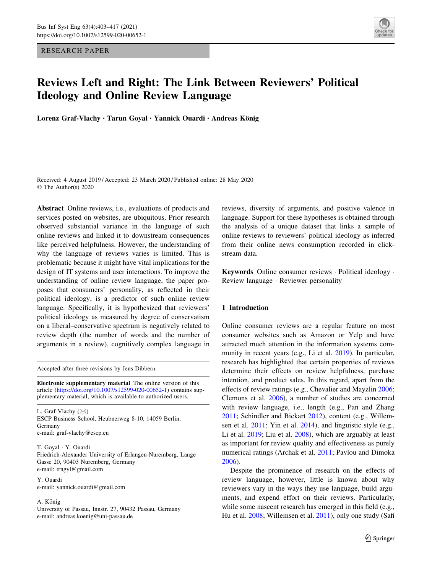RESEARCH PAPER



# Reviews Left and Right: The Link Between Reviewers' Political Ideology and Online Review Language

Lorenz Graf-Vlachy · Tarun Goyal · Yannick Ouardi · Andreas König

Received: 4 August 2019 / Accepted: 23 March 2020 / Published online: 28 May 2020 © The Author(s) 2020

Abstract Online reviews, i.e., evaluations of products and services posted on websites, are ubiquitous. Prior research observed substantial variance in the language of such online reviews and linked it to downstream consequences like perceived helpfulness. However, the understanding of why the language of reviews varies is limited. This is problematic because it might have vital implications for the design of IT systems and user interactions. To improve the understanding of online review language, the paper proposes that consumers' personality, as reflected in their political ideology, is a predictor of such online review language. Specifically, it is hypothesized that reviewers' political ideology as measured by degree of conservatism on a liberal–conservative spectrum is negatively related to review depth (the number of words and the number of arguments in a review), cognitively complex language in

Accepted after three revisions by Jens Dibbern.

Electronic supplementary material The online version of this article [\(https://doi.org/10.1007/s12599-020-00652-1](https://doi.org/10.1007/s12599-020-00652-1)) contains supplementary material, which is available to authorized users.

L. Graf-Vlachy  $(\boxtimes)$ ESCP Business School, Heubnerweg 8-10, 14059 Berlin, Germany e-mail: graf-vlachy@escp.eu

T. Goyal - Y. Ouardi Friedrich-Alexander University of Erlangen-Nuremberg, Lange Gasse 20, 90403 Nuremberg, Germany e-mail: trngyl@gmail.com

Y. Ouardi e-mail: yannick.ouardi@gmail.com

A. König

University of Passau, Innstr. 27, 90432 Passau, Germany e-mail: andreas.koenig@uni-passau.de

reviews, diversity of arguments, and positive valence in language. Support for these hypotheses is obtained through the analysis of a unique dataset that links a sample of online reviews to reviewers' political ideology as inferred from their online news consumption recorded in clickstream data.

Keywords Online consumer reviews - Political ideology - Review language - Reviewer personality

# 1 Introduction

Online consumer reviews are a regular feature on most consumer websites such as Amazon or Yelp and have attracted much attention in the information systems community in recent years (e.g., Li et al. [2019](#page-13-0)). In particular, research has highlighted that certain properties of reviews determine their effects on review helpfulness, purchase intention, and product sales. In this regard, apart from the effects of review ratings (e.g., Chevalier and Mayzlin [2006](#page-12-0); Clemons et al. [2006](#page-12-0)), a number of studies are concerned with review language, i.e., length (e.g., Pan and Zhang [2011](#page-13-0); Schindler and Bickart [2012\)](#page-14-0), content (e.g., Willemsen et al. [2011](#page-14-0); Yin et al. [2014](#page-14-0)), and linguistic style (e.g., Li et al. [2019;](#page-13-0) Liu et al. [2008](#page-13-0)), which are arguably at least as important for review quality and effectiveness as purely numerical ratings (Archak et al. [2011](#page-12-0); Pavlou and Dimoka [2006](#page-13-0)).

Despite the prominence of research on the effects of review language, however, little is known about why reviewers vary in the ways they use language, build arguments, and expend effort on their reviews. Particularly, while some nascent research has emerged in this field (e.g., Hu et al. [2008;](#page-13-0) Willemsen et al. [2011\)](#page-14-0), only one study (Safi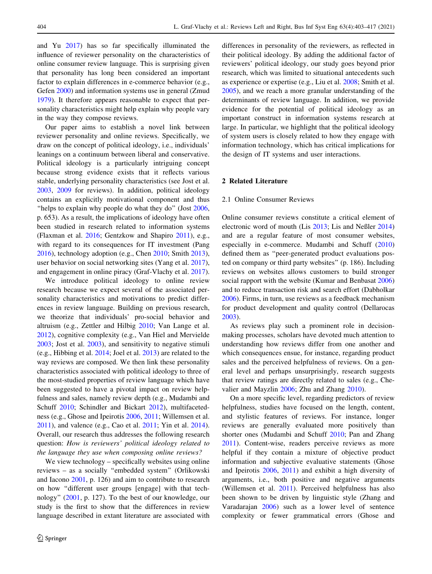and Yu [2017](#page-14-0)) has so far specifically illuminated the influence of reviewer personality on the characteristics of online consumer review language. This is surprising given that personality has long been considered an important factor to explain differences in e-commerce behavior (e.g., Gefen [2000\)](#page-12-0) and information systems use in general (Zmud [1979\)](#page-14-0). It therefore appears reasonable to expect that personality characteristics might help explain why people vary in the way they compose reviews.

Our paper aims to establish a novel link between reviewer personality and online reviews. Specifically, we draw on the concept of political ideology, i.e., individuals' leanings on a continuum between liberal and conservative. Political ideology is a particularly intriguing concept because strong evidence exists that it reflects various stable, underlying personality characteristics (see Jost et al. [2003,](#page-13-0) [2009](#page-13-0) for reviews). In addition, political ideology contains an explicitly motivational component and thus "helps to explain why people do what they do" (Jost [2006,](#page-13-0) p. 653). As a result, the implications of ideology have often been studied in research related to information systems (Flaxman et al. [2016;](#page-12-0) Gentzkow and Shapiro [2011\)](#page-13-0), e.g., with regard to its consequences for IT investment (Pang [2016\)](#page-13-0), technology adoption (e.g., Chen [2010](#page-12-0); Smith [2013](#page-14-0)), user behavior on social networking sites (Yang et al. [2017](#page-14-0)), and engagement in online piracy (Graf-Vlachy et al. [2017](#page-13-0)).

We introduce political ideology to online review research because we expect several of the associated personality characteristics and motivations to predict differences in review language. Building on previous research, we theorize that individuals' pro-social behavior and altruism (e.g., Zettler and Hilbig [2010](#page-14-0); Van Lange et al. [2012\)](#page-14-0), cognitive complexity (e.g., Van Hiel and Mervielde [2003;](#page-14-0) Jost et al. [2003](#page-13-0)), and sensitivity to negative stimuli (e.g., Hibbing et al. [2014;](#page-13-0) Joel et al. [2013](#page-13-0)) are related to the way reviews are composed. We then link these personality characteristics associated with political ideology to three of the most-studied properties of review language which have been suggested to have a pivotal impact on review helpfulness and sales, namely review depth (e.g., Mudambi and Schuff [2010](#page-13-0); Schindler and Bickart [2012](#page-14-0)), multifacetedness (e.g., Ghose and Ipeirotis [2006,](#page-13-0) [2011;](#page-13-0) Willemsen et al. [2011\)](#page-14-0), and valence (e.g., Cao et al. [2011](#page-12-0); Yin et al. [2014](#page-14-0)). Overall, our research thus addresses the following research question: How is reviewers' political ideology related to the language they use when composing online reviews?

We view technology – specifically websites using online reviews – as a socially ''embedded system'' (Orlikowski and Iacono [2001](#page-13-0), p. 126) and aim to contribute to research on how ''different user groups [engage] with that technology'' ([2001,](#page-13-0) p. 127). To the best of our knowledge, our study is the first to show that the differences in review language described in extant literature are associated with differences in personality of the reviewers, as reflected in their political ideology. By adding the additional factor of reviewers' political ideology, our study goes beyond prior research, which was limited to situational antecedents such as experience or expertise (e.g., Liu et al. [2008](#page-13-0); Smith et al. [2005](#page-14-0)), and we reach a more granular understanding of the determinants of review language. In addition, we provide evidence for the potential of political ideology as an important construct in information systems research at large. In particular, we highlight that the political ideology of system users is closely related to how they engage with information technology, which has critical implications for the design of IT systems and user interactions.

#### 2 Related Literature

### 2.1 Online Consumer Reviews

Online consumer reviews constitute a critical element of electronic word of mouth (Lis [2013](#page-13-0); Lis and Neßler [2014\)](#page-13-0) and are a regular feature of most consumer websites, especially in e-commerce. Mudambi and Schuff ([2010\)](#page-13-0) defined them as ''peer-generated product evaluations posted on company or third party websites'' (p. 186). Including reviews on websites allows customers to build stronger social rapport with the website (Kumar and Benbasat [2006\)](#page-13-0) and to reduce transaction risk and search effort (Dabholkar [2006](#page-12-0)). Firms, in turn, use reviews as a feedback mechanism for product development and quality control (Dellarocas [2003](#page-12-0)).

As reviews play such a prominent role in decisionmaking processes, scholars have devoted much attention to understanding how reviews differ from one another and which consequences ensue, for instance, regarding product sales and the perceived helpfulness of reviews. On a general level and perhaps unsurprisingly, research suggests that review ratings are directly related to sales (e.g., Chevalier and Mayzlin [2006;](#page-12-0) Zhu and Zhang [2010\)](#page-14-0).

On a more specific level, regarding predictors of review helpfulness, studies have focused on the length, content, and stylistic features of reviews. For instance, longer reviews are generally evaluated more positively than shorter ones (Mudambi and Schuff [2010;](#page-13-0) Pan and Zhang [2011](#page-13-0)). Content-wise, readers perceive reviews as more helpful if they contain a mixture of objective product information and subjective evaluative statements (Ghose and Ipeirotis [2006](#page-13-0), [2011\)](#page-13-0) and exhibit a high diversity of arguments, i.e., both positive and negative arguments (Willemsen et al. [2011\)](#page-14-0). Perceived helpfulness has also been shown to be driven by linguistic style (Zhang and Varadarajan [2006](#page-14-0)) such as a lower level of sentence complexity or fewer grammatical errors (Ghose and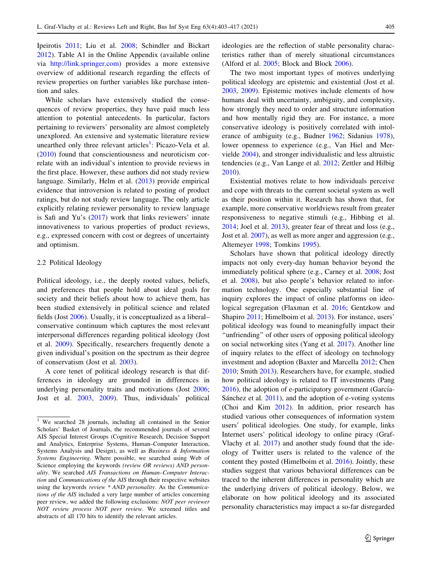Ipeirotis [2011](#page-13-0); Liu et al. [2008;](#page-13-0) Schindler and Bickart [2012\)](#page-14-0). Table A1 in the Online Appendix (available online via <http://link.springer.com>) provides a more extensive overview of additional research regarding the effects of review properties on further variables like purchase intention and sales.

While scholars have extensively studied the consequences of review properties, they have paid much less attention to potential antecedents. In particular, factors pertaining to reviewers' personality are almost completely unexplored. An extensive and systematic literature review unearthed only three relevant articles<sup>1</sup>: Picazo-Vela et al. [\(2010](#page-14-0)) found that conscientiousness and neuroticism correlate with an individual's intention to provide reviews in the first place. However, these authors did not study review language. Similarly, Helm et al. [\(2013](#page-13-0)) provide empirical evidence that introversion is related to posting of product ratings, but do not study review language. The only article explicitly relating reviewer personality to review language is Safi and Yu's [\(2017](#page-14-0)) work that links reviewers' innate innovativeness to various properties of product reviews, e.g., expressed concern with cost or degrees of uncertainty and optimism.

#### 2.2 Political Ideology

Political ideology, i.e., the deeply rooted values, beliefs, and preferences that people hold about ideal goals for society and their beliefs about how to achieve them, has been studied extensively in political science and related fields (Jost [2006](#page-13-0)). Usually, it is conceptualized as a liberal– conservative continuum which captures the most relevant interpersonal differences regarding political ideology (Jost et al. [2009](#page-13-0)). Specifically, researchers frequently denote a given individual's position on the spectrum as their degree of conservatism (Jost et al. [2003\)](#page-13-0).

A core tenet of political ideology research is that differences in ideology are grounded in differences in underlying personality traits and motivations (Jost [2006](#page-13-0); Jost et al. [2003,](#page-13-0) [2009\)](#page-13-0). Thus, individuals' political ideologies are the reflection of stable personality characteristics rather than of merely situational circumstances (Alford et al. [2005](#page-12-0); Block and Block [2006](#page-12-0)).

The two most important types of motives underlying political ideology are epistemic and existential (Jost et al. [2003](#page-13-0), [2009](#page-13-0)). Epistemic motives include elements of how humans deal with uncertainty, ambiguity, and complexity, how strongly they need to order and structure information and how mentally rigid they are. For instance, a more conservative ideology is positively correlated with intolerance of ambiguity (e.g., Budner [1962;](#page-12-0) Sidanius [1978](#page-14-0)), lower openness to experience (e.g., Van Hiel and Mervielde [2004](#page-14-0)), and stronger individualistic and less altruistic tendencies (e.g., Van Lange et al. [2012;](#page-14-0) Zettler and Hilbig [2010](#page-14-0)).

Existential motives relate to how individuals perceive and cope with threats to the current societal system as well as their position within it. Research has shown that, for example, more conservative worldviews result from greater responsiveness to negative stimuli (e.g., Hibbing et al. [2014](#page-13-0); Joel et al. [2013\)](#page-13-0), greater fear of threat and loss (e.g., Jost et al. [2007\)](#page-13-0), as well as more anger and aggression (e.g., Altemeyer [1998;](#page-12-0) Tomkins [1995\)](#page-14-0).

Scholars have shown that political ideology directly impacts not only every-day human behavior beyond the immediately political sphere (e.g., Carney et al. [2008;](#page-12-0) Jost et al. [2008\)](#page-13-0), but also people's behavior related to information technology. One especially substantial line of inquiry explores the impact of online platforms on ideological segregation (Flaxman et al. [2016](#page-12-0); Gentzkow and Shapiro [2011](#page-13-0); Himelboim et al. [2013\)](#page-13-0). For instance, users' political ideology was found to meaningfully impact their ''unfriending'' of other users of opposing political ideology on social networking sites (Yang et al. [2017\)](#page-14-0). Another line of inquiry relates to the effect of ideology on technology investment and adoption (Baxter and Marcella [2012](#page-12-0); Chen [2010](#page-12-0); Smith [2013](#page-14-0)). Researchers have, for example, studied how political ideology is related to IT investments (Pang  $2016$ ), the adoption of e-participatory government (García-Sánchez et al.  $2011$ ), and the adoption of e-voting systems (Choi and Kim [2012\)](#page-12-0). In addition, prior research has studied various other consequences of information system users' political ideologies. One study, for example, links Internet users' political ideology to online piracy (Graf-Vlachy et al. [2017](#page-13-0)) and another study found that the ideology of Twitter users is related to the valence of the content they posted (Himelboim et al. [2016](#page-13-0)). Jointly, these studies suggest that various behavioral differences can be traced to the inherent differences in personality which are the underlying drivers of political ideology. Below, we elaborate on how political ideology and its associated personality characteristics may impact a so-far disregarded

<sup>&</sup>lt;sup>1</sup> We searched 28 journals, including all contained in the Senior Scholars' Basket of Journals, the recommended journals of several AIS Special Interest Groups (Cognitive Research, Decision Support and Analytics, Enterprise Systems, Human–Computer Interaction, Systems Analysis and Design), as well as Business & Information Systems Engineering. Where possible, we searched using Web of Science employing the keywords (review OR reviews) AND personality. We searched AIS Transactions on Human–Computer Interaction and Communications of the AIS through their respective websites using the keywords review \* AND personality. As the Communications of the AIS included a very large number of articles concerning peer review, we added the following exclusions: NOT peer reviewer NOT review process NOT peer review. We screened titles and abstracts of all 170 hits to identify the relevant articles.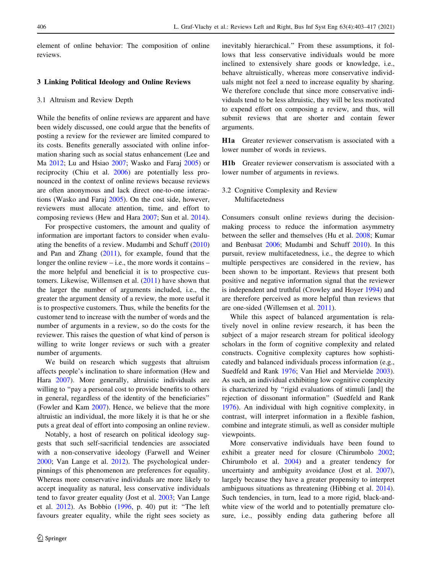element of online behavior: The composition of online reviews.

# 3 Linking Political Ideology and Online Reviews

#### 3.1 Altruism and Review Depth

While the benefits of online reviews are apparent and have been widely discussed, one could argue that the benefits of posting a review for the reviewer are limited compared to its costs. Benefits generally associated with online information sharing such as social status enhancement (Lee and Ma [2012;](#page-13-0) Lu and Hsiao [2007;](#page-13-0) Wasko and Faraj [2005\)](#page-14-0) or reciprocity (Chiu et al. [2006\)](#page-12-0) are potentially less pronounced in the context of online reviews because reviews are often anonymous and lack direct one-to-one interactions (Wasko and Faraj [2005](#page-14-0)). On the cost side, however, reviewers must allocate attention, time, and effort to composing reviews (Hew and Hara [2007](#page-13-0); Sun et al. [2014](#page-14-0)).

For prospective customers, the amount and quality of information are important factors to consider when evaluating the benefits of a review. Mudambi and Schuff ([2010\)](#page-13-0) and Pan and Zhang ([2011\)](#page-13-0), for example, found that the longer the online review – i.e., the more words it contains – the more helpful and beneficial it is to prospective customers. Likewise, Willemsen et al. ([2011\)](#page-14-0) have shown that the larger the number of arguments included, i.e., the greater the argument density of a review, the more useful it is to prospective customers. Thus, while the benefits for the customer tend to increase with the number of words and the number of arguments in a review, so do the costs for the reviewer. This raises the question of what kind of person is willing to write longer reviews or such with a greater number of arguments.

We build on research which suggests that altruism affects people's inclination to share information (Hew and Hara [2007](#page-13-0)). More generally, altruistic individuals are willing to "pay a personal cost to provide benefits to others in general, regardless of the identity of the beneficiaries'' (Fowler and Kam [2007\)](#page-12-0). Hence, we believe that the more altruistic an individual, the more likely it is that he or she puts a great deal of effort into composing an online review.

Notably, a host of research on political ideology suggests that such self-sacrificial tendencies are associated with a non-conservative ideology (Farwell and Weiner [2000;](#page-12-0) Van Lange et al. [2012](#page-14-0)). The psychological underpinnings of this phenomenon are preferences for equality. Whereas more conservative individuals are more likely to accept inequality as natural, less conservative individuals tend to favor greater equality (Jost et al. [2003](#page-13-0); Van Lange et al. [2012\)](#page-14-0). As Bobbio ([1996](#page-12-0), p. 40) put it: ''The left favours greater equality, while the right sees society as inevitably hierarchical.'' From these assumptions, it follows that less conservative individuals would be more inclined to extensively share goods or knowledge, i.e., behave altruistically, whereas more conservative individuals might not feel a need to increase equality by sharing. We therefore conclude that since more conservative individuals tend to be less altruistic, they will be less motivated to expend effort on composing a review, and thus, will submit reviews that are shorter and contain fewer arguments.

H1a Greater reviewer conservatism is associated with a lower number of words in reviews.

H1b Greater reviewer conservatism is associated with a lower number of arguments in reviews.

# 3.2 Cognitive Complexity and Review Multifacetedness

Consumers consult online reviews during the decisionmaking process to reduce the information asymmetry between the seller and themselves (Hu et al. [2008;](#page-13-0) Kumar and Benbasat [2006](#page-13-0); Mudambi and Schuff [2010\)](#page-13-0). In this pursuit, review multifacetedness, i.e., the degree to which multiple perspectives are considered in the review, has been shown to be important. Reviews that present both positive and negative information signal that the reviewer is independent and truthful (Crowley and Hoyer [1994\)](#page-12-0) and are therefore perceived as more helpful than reviews that are one-sided (Willemsen et al. [2011\)](#page-14-0).

While this aspect of balanced argumentation is relatively novel in online review research, it has been the subject of a major research stream for political ideology scholars in the form of cognitive complexity and related constructs. Cognitive complexity captures how sophisticatedly and balanced individuals process information (e.g., Suedfeld and Rank [1976](#page-14-0); Van Hiel and Mervielde [2003](#page-14-0)). As such, an individual exhibiting low cognitive complexity is characterized by ''rigid evaluations of stimuli [and] the rejection of dissonant information'' (Suedfeld and Rank [1976](#page-14-0)). An individual with high cognitive complexity, in contrast, will interpret information in a flexible fashion, combine and integrate stimuli, as well as consider multiple viewpoints.

More conservative individuals have been found to exhibit a greater need for closure (Chirumbolo [2002](#page-12-0); Chirumbolo et al. [2004](#page-12-0)) and a greater tendency for uncertainty and ambiguity avoidance (Jost et al. [2007](#page-13-0)), largely because they have a greater propensity to interpret ambiguous situations as threatening (Hibbing et al. [2014](#page-13-0)). Such tendencies, in turn, lead to a more rigid, black-andwhite view of the world and to potentially premature closure, i.e., possibly ending data gathering before all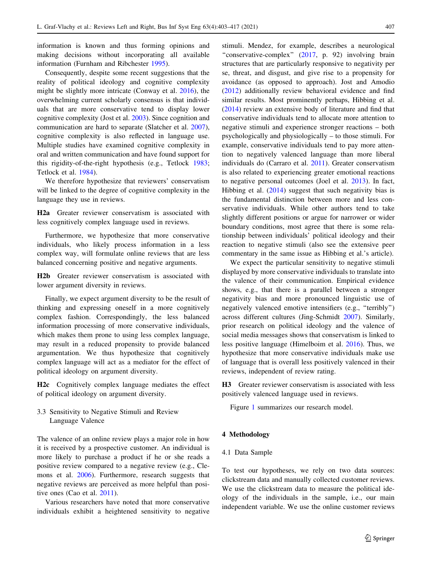information is known and thus forming opinions and making decisions without incorporating all available information (Furnham and Ribchester [1995](#page-12-0)).

Consequently, despite some recent suggestions that the reality of political ideology and cognitive complexity might be slightly more intricate (Conway et al. [2016\)](#page-12-0), the overwhelming current scholarly consensus is that individuals that are more conservative tend to display lower cognitive complexity (Jost et al. [2003](#page-13-0)). Since cognition and communication are hard to separate (Slatcher et al. [2007](#page-14-0)), cognitive complexity is also reflected in language use. Multiple studies have examined cognitive complexity in oral and written communication and have found support for this rigidity-of-the-right hypothesis (e.g., Tetlock [1983](#page-14-0); Tetlock et al. [1984\)](#page-14-0).

We therefore hypothesize that reviewers' conservatism will be linked to the degree of cognitive complexity in the language they use in reviews.

H2a Greater reviewer conservatism is associated with less cognitively complex language used in reviews.

Furthermore, we hypothesize that more conservative individuals, who likely process information in a less complex way, will formulate online reviews that are less balanced concerning positive and negative arguments.

H2b Greater reviewer conservatism is associated with lower argument diversity in reviews.

Finally, we expect argument diversity to be the result of thinking and expressing oneself in a more cognitively complex fashion. Correspondingly, the less balanced information processing of more conservative individuals, which makes them prone to using less complex language, may result in a reduced propensity to provide balanced argumentation. We thus hypothesize that cognitively complex language will act as a mediator for the effect of political ideology on argument diversity.

H2c Cognitively complex language mediates the effect of political ideology on argument diversity.

3.3 Sensitivity to Negative Stimuli and Review Language Valence

The valence of an online review plays a major role in how it is received by a prospective customer. An individual is more likely to purchase a product if he or she reads a positive review compared to a negative review (e.g., Clemons et al. [2006](#page-12-0)). Furthermore, research suggests that negative reviews are perceived as more helpful than positive ones (Cao et al. [2011](#page-12-0)).

Various researchers have noted that more conservative individuals exhibit a heightened sensitivity to negative stimuli. Mendez, for example, describes a neurological "conservative-complex" ([2017,](#page-13-0) p. 92) involving brain structures that are particularly responsive to negativity per se, threat, and disgust, and give rise to a propensity for avoidance (as opposed to approach). Jost and Amodio [\(2012](#page-13-0)) additionally review behavioral evidence and find similar results. Most prominently perhaps, Hibbing et al. [\(2014](#page-13-0)) review an extensive body of literature and find that conservative individuals tend to allocate more attention to negative stimuli and experience stronger reactions – both psychologically and physiologically – to those stimuli. For example, conservative individuals tend to pay more attention to negatively valenced language than more liberal individuals do (Carraro et al. [2011\)](#page-12-0). Greater conservatism is also related to experiencing greater emotional reactions to negative personal outcomes (Joel et al. [2013\)](#page-13-0). In fact, Hibbing et al. [\(2014](#page-13-0)) suggest that such negativity bias is the fundamental distinction between more and less conservative individuals. While other authors tend to take slightly different positions or argue for narrower or wider boundary conditions, most agree that there is some relationship between individuals' political ideology and their reaction to negative stimuli (also see the extensive peer commentary in the same issue as Hibbing et al.'s article).

We expect the particular sensitivity to negative stimuli displayed by more conservative individuals to translate into the valence of their communication. Empirical evidence shows, e.g., that there is a parallel between a stronger negativity bias and more pronounced linguistic use of negatively valenced emotive intensifiers (e.g., ''terribly'') across different cultures (Jing-Schmidt [2007\)](#page-13-0). Similarly, prior research on political ideology and the valence of social media messages shows that conservatism is linked to less positive language (Himelboim et al. [2016\)](#page-13-0). Thus, we hypothesize that more conservative individuals make use of language that is overall less positively valenced in their reviews, independent of review rating.

H3 Greater reviewer conservatism is associated with less positively valenced language used in reviews.

Figure [1](#page-5-0) summarizes our research model.

#### 4 Methodology

#### 4.1 Data Sample

To test our hypotheses, we rely on two data sources: clickstream data and manually collected customer reviews. We use the clickstream data to measure the political ideology of the individuals in the sample, i.e., our main independent variable. We use the online customer reviews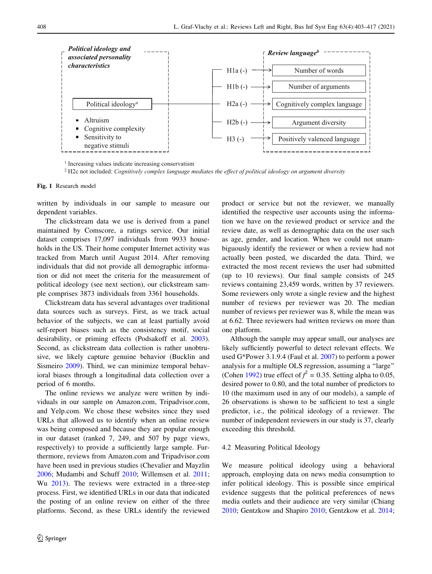<span id="page-5-0"></span>

<sup>1</sup> Increasing values indicate increasing conservatism

<sup>2</sup> H2c not included: *Cognitively complex language mediates the effect of political ideology on argument diversity*

Fig. 1 Research model

written by individuals in our sample to measure our dependent variables.

The clickstream data we use is derived from a panel maintained by Comscore, a ratings service. Our initial dataset comprises 17,097 individuals from 9933 households in the US. Their home computer Internet activity was tracked from March until August 2014. After removing individuals that did not provide all demographic information or did not meet the criteria for the measurement of political ideology (see next section), our clickstream sample comprises 3873 individuals from 3361 households.

Clickstream data has several advantages over traditional data sources such as surveys. First, as we track actual behavior of the subjects, we can at least partially avoid self-report biases such as the consistency motif, social desirability, or priming effects (Podsakoff et al. [2003](#page-14-0)). Second, as clickstream data collection is rather unobtrusive, we likely capture genuine behavior (Bucklin and Sismeiro [2009](#page-12-0)). Third, we can minimize temporal behavioral biases through a longitudinal data collection over a period of 6 months.

The online reviews we analyze were written by individuals in our sample on Amazon.com, Tripadvisor.com, and Yelp.com. We chose these websites since they used URLs that allowed us to identify when an online review was being composed and because they are popular enough in our dataset (ranked 7, 249, and 507 by page views, respectively) to provide a sufficiently large sample. Furthermore, reviews from Amazon.com and Tripadvisor.com have been used in previous studies (Chevalier and Mayzlin [2006;](#page-12-0) Mudambi and Schuff [2010](#page-13-0); Willemsen et al. [2011](#page-14-0); Wu [2013\)](#page-14-0). The reviews were extracted in a three-step process. First, we identified URLs in our data that indicated the posting of an online review on either of the three platforms. Second, as these URLs identify the reviewed product or service but not the reviewer, we manually identified the respective user accounts using the information we have on the reviewed product or service and the review date, as well as demographic data on the user such as age, gender, and location. When we could not unambiguously identify the reviewer or when a review had not actually been posted, we discarded the data. Third, we extracted the most recent reviews the user had submitted (up to 10 reviews). Our final sample consists of 245 reviews containing 23,459 words, written by 37 reviewers. Some reviewers only wrote a single review and the highest number of reviews per reviewer was 20. The median number of reviews per reviewer was 8, while the mean was at 6.62. Three reviewers had written reviews on more than one platform.

Although the sample may appear small, our analyses are likely sufficiently powerful to detect relevant effects. We used G\*Power 3.1.9.4 (Faul et al. [2007\)](#page-12-0) to perform a power analysis for a multiple OLS regression, assuming a ''large'' (Cohen [1992\)](#page-12-0) true effect of  $f^2 = 0.35$ . Setting alpha to 0.05, desired power to 0.80, and the total number of predictors to 10 (the maximum used in any of our models), a sample of 26 observations is shown to be sufficient to test a single predictor, i.e., the political ideology of a reviewer. The number of independent reviewers in our study is 37, clearly exceeding this threshold.

#### 4.2 Measuring Political Ideology

We measure political ideology using a behavioral approach, employing data on news media consumption to infer political ideology. This is possible since empirical evidence suggests that the political preferences of news media outlets and their audience are very similar (Chiang [2010](#page-12-0); Gentzkow and Shapiro [2010](#page-12-0); Gentzkow et al. [2014](#page-13-0);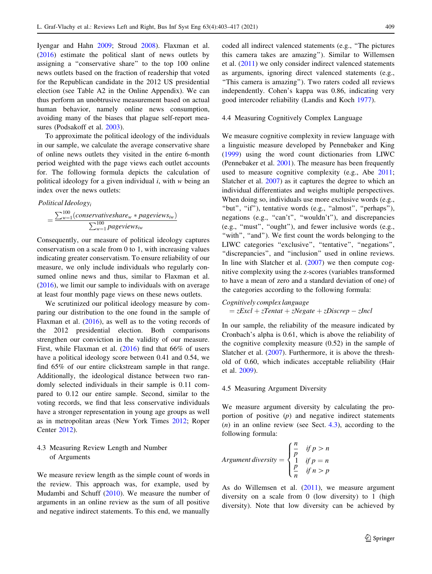Iyengar and Hahn [2009](#page-13-0); Stroud [2008\)](#page-14-0). Flaxman et al. [\(2016](#page-12-0)) estimate the political slant of news outlets by assigning a ''conservative share'' to the top 100 online news outlets based on the fraction of readership that voted for the Republican candidate in the 2012 US presidential election (see Table A2 in the Online Appendix). We can thus perform an unobtrusive measurement based on actual human behavior, namely online news consumption, avoiding many of the biases that plague self-report measures (Podsakoff et al. [2003\)](#page-14-0).

To approximate the political ideology of the individuals in our sample, we calculate the average conservative share of online news outlets they visited in the entire 6-month period weighted with the page views each outlet accounts for. The following formula depicts the calculation of political ideology for a given individual  $i$ , with w being an index over the news outlets:

Polritical Ideology<sub>i</sub>

\n
$$
= \frac{\sum_{w=1}^{100} (conservative share_w * pageviews_w)}{\sum_{w=1}^{100} pageviews_w}
$$

Consequently, our measure of political ideology captures conservatism on a scale from 0 to 1, with increasing values indicating greater conservatism. To ensure reliability of our measure, we only include individuals who regularly consumed online news and thus, similar to Flaxman et al. [\(2016](#page-12-0)), we limit our sample to individuals with on average at least four monthly page views on these news outlets.

We scrutinized our political ideology measure by comparing our distribution to the one found in the sample of Flaxman et al. [\(2016](#page-12-0)), as well as to the voting records of the 2012 presidential election. Both comparisons strengthen our conviction in the validity of our measure. First, while Flaxman et al. ([2016\)](#page-12-0) find that 66% of users have a political ideology score between 0.41 and 0.54, we find 65% of our entire clickstream sample in that range. Additionally, the ideological distance between two randomly selected individuals in their sample is 0.11 compared to 0.12 our entire sample. Second, similar to the voting records, we find that less conservative individuals have a stronger representation in young age groups as well as in metropolitan areas (New York Times [2012](#page-13-0); Roper Center [2012](#page-14-0)).

# 4.3 Measuring Review Length and Number of Arguments

We measure review length as the simple count of words in the review. This approach was, for example, used by Mudambi and Schuff ([2010\)](#page-13-0). We measure the number of arguments in an online review as the sum of all positive and negative indirect statements. To this end, we manually coded all indirect valenced statements (e.g., ''The pictures this camera takes are amazing''). Similar to Willemsen et al. [\(2011](#page-14-0)) we only consider indirect valenced statements as arguments, ignoring direct valenced statements (e.g., ''This camera is amazing''). Two raters coded all reviews independently. Cohen's kappa was 0.86, indicating very good intercoder reliability (Landis and Koch [1977](#page-13-0)).

#### 4.4 Measuring Cognitively Complex Language

We measure cognitive complexity in review language with a linguistic measure developed by Pennebaker and King [\(1999](#page-14-0)) using the word count dictionaries from LIWC (Pennebaker et al. [2001\)](#page-14-0). The measure has been frequently used to measure cognitive complexity (e.g., Abe [2011](#page-12-0); Slatcher et al. [2007](#page-14-0)) as it captures the degree to which an individual differentiates and weighs multiple perspectives. When doing so, individuals use more exclusive words (e.g., "but", "if"), tentative words (e.g., "almost", "perhaps"), negations (e.g., "can't", "wouldn't"), and discrepancies (e.g., ''must'', ''ought''), and fewer inclusive words (e.g., "with", "and"). We first count the words belonging to the LIWC categories "exclusive", "tentative", "negations", "discrepancies", and "inclusion" used in online reviews. In line with Slatcher et al.  $(2007)$  $(2007)$  we then compute cognitive complexity using the z-scores (variables transformed to have a mean of zero and a standard deviation of one) of the categories according to the following formula:

\n Cognitively complex language  
\n
$$
= zExcl + zTentat + zNegate + zDiscrep - zIncl
$$
\n

In our sample, the reliability of the measure indicated by Cronbach's alpha is 0.61, which is above the reliability of the cognitive complexity measure (0.52) in the sample of Slatcher et al. ([2007](#page-14-0)). Furthermore, it is above the threshold of 0.60, which indicates acceptable reliability (Hair et al. [2009\)](#page-13-0).

#### 4.5 Measuring Argument Diversity

We measure argument diversity by calculating the proportion of positive  $(p)$  and negative indirect statements  $(n)$  in an online review (see Sect. 4.3), according to the following formula:

Argument diversity = 
$$
\begin{cases} \frac{n}{p} & \text{if } p > n \\ \frac{1}{p} & \text{if } p = n \\ \frac{p}{n} & \text{if } n > p \end{cases}
$$

As do Willemsen et al. ([2011\)](#page-14-0), we measure argument diversity on a scale from 0 (low diversity) to 1 (high diversity). Note that low diversity can be achieved by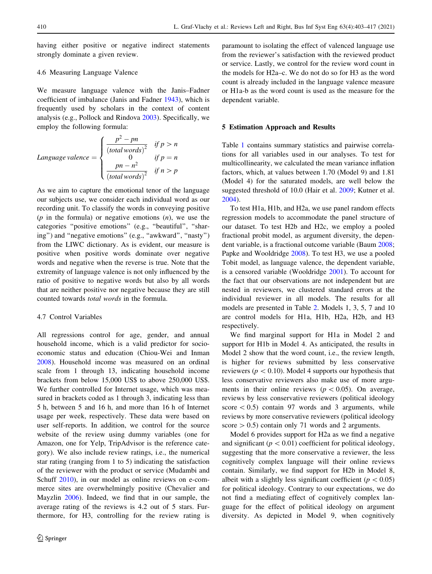having either positive or negative indirect statements strongly dominate a given review.

# 4.6 Measuring Language Valence

We measure language valence with the Janis–Fadner coefficient of imbalance (Janis and Fadner [1943](#page-13-0)), which is frequently used by scholars in the context of content analysis (e.g., Pollock and Rindova [2003](#page-14-0)). Specifically, we employ the following formula:

Language valence 
$$
= \begin{cases} \frac{p^2 - pn}{(total words)^2} & \text{if } p > n \\ 0 & \text{if } p = n \\ \frac{pn - n^2}{(total words)^2} & \text{if } n > p \end{cases}
$$

As we aim to capture the emotional tenor of the language our subjects use, we consider each individual word as our recording unit. To classify the words in conveying positive  $(p$  in the formula) or negative emotions  $(n)$ , we use the categories ''positive emotions'' (e.g., ''beautiful'', ''sharing'') and ''negative emotions'' (e.g., ''awkward'', ''nasty'') from the LIWC dictionary. As is evident, our measure is positive when positive words dominate over negative words and negative when the reverse is true. Note that the extremity of language valence is not only influenced by the ratio of positive to negative words but also by all words that are neither positive nor negative because they are still counted towards total words in the formula.

# 4.7 Control Variables

All regressions control for age, gender, and annual household income, which is a valid predictor for socioeconomic status and education (Chiou-Wei and Inman [2008\)](#page-12-0). Household income was measured on an ordinal scale from 1 through 13, indicating household income brackets from below 15,000 US\$ to above 250,000 US\$. We further controlled for Internet usage, which was measured in brackets coded as 1 through 3, indicating less than 5 h, between 5 and 16 h, and more than 16 h of Internet usage per week, respectively. These data were based on user self-reports. In addition, we control for the source website of the review using dummy variables (one for Amazon, one for Yelp, TripAdvisor is the reference category). We also include review ratings, i.e., the numerical star rating (ranging from 1 to 5) indicating the satisfaction of the reviewer with the product or service (Mudambi and Schuff [2010\)](#page-13-0), in our model as online reviews on e-commerce sites are overwhelmingly positive (Chevalier and Mayzlin [2006](#page-12-0)). Indeed, we find that in our sample, the average rating of the reviews is 4.2 out of 5 stars. Furthermore, for H3, controlling for the review rating is paramount to isolating the effect of valenced language use from the reviewer's satisfaction with the reviewed product or service. Lastly, we control for the review word count in the models for H2a–c. We do not do so for H3 as the word count is already included in the language valence measure or H1a-b as the word count is used as the measure for the dependent variable.

# 5 Estimation Approach and Results

Table [1](#page-8-0) contains summary statistics and pairwise correlations for all variables used in our analyses. To test for multicollinearity, we calculated the mean variance inflation factors, which, at values between 1.70 (Model 9) and 1.81 (Model 4) for the saturated models, are well below the suggested threshold of 10.0 (Hair et al. [2009;](#page-13-0) Kutner et al. [2004](#page-13-0)).

To test H1a, H1b, and H2a, we use panel random effects regression models to accommodate the panel structure of our dataset. To test H2b and H2c, we employ a pooled fractional probit model, as argument diversity, the dependent variable, is a fractional outcome variable (Baum [2008](#page-12-0); Papke and Wooldridge [2008\)](#page-13-0). To test H3, we use a pooled Tobit model, as language valence, the dependent variable, is a censored variable (Wooldridge [2001\)](#page-14-0). To account for the fact that our observations are not independent but are nested in reviewers, we clustered standard errors at the individual reviewer in all models. The results for all models are presented in Table [2](#page-9-0). Models 1, 3, 5, 7 and 10 are control models for H1a, H1b, H2a, H2b, and H3 respectively.

We find marginal support for H1a in Model 2 and support for H1b in Model 4. As anticipated, the results in Model 2 show that the word count, i.e., the review length, is higher for reviews submitted by less conservative reviewers ( $p < 0.10$ ). Model 4 supports our hypothesis that less conservative reviewers also make use of more arguments in their online reviews ( $p < 0.05$ ). On average, reviews by less conservative reviewers (political ideology score  $\lt$  0.5) contain 97 words and 3 arguments, while reviews by more conservative reviewers (political ideology score  $> 0.5$ ) contain only 71 words and 2 arguments.

Model 6 provides support for H2a as we find a negative and significant ( $p < 0.01$ ) coefficient for political ideology, suggesting that the more conservative a reviewer, the less cognitively complex language will their online reviews contain. Similarly, we find support for H2b in Model 8, albeit with a slightly less significant coefficient ( $p < 0.05$ ) for political ideology. Contrary to our expectations, we do not find a mediating effect of cognitively complex language for the effect of political ideology on argument diversity. As depicted in Model 9, when cognitively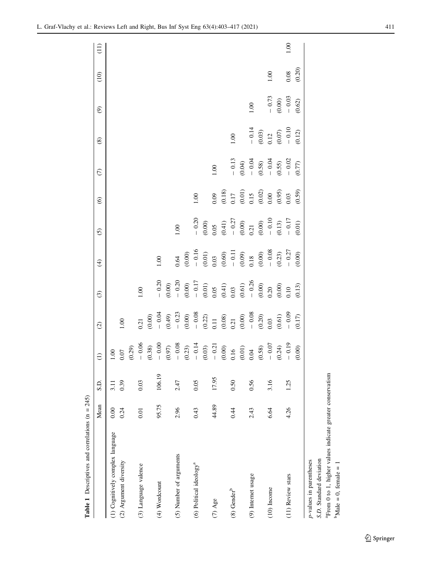<span id="page-8-0"></span>

| <b>Table 1</b> Descriptives and correlations $(n = 245)$ |       |        |      |                                                                                                                                                                                                                                                                          |                                                                                                                                                                                                                                                                                                                       |                                                                                                                                                                                |                                                                                                                                                                                                                                                                                                           |                                                                                                                       |                                                                           |                                                                                     |                               |                                             |          |
|----------------------------------------------------------|-------|--------|------|--------------------------------------------------------------------------------------------------------------------------------------------------------------------------------------------------------------------------------------------------------------------------|-----------------------------------------------------------------------------------------------------------------------------------------------------------------------------------------------------------------------------------------------------------------------------------------------------------------------|--------------------------------------------------------------------------------------------------------------------------------------------------------------------------------|-----------------------------------------------------------------------------------------------------------------------------------------------------------------------------------------------------------------------------------------------------------------------------------------------------------|-----------------------------------------------------------------------------------------------------------------------|---------------------------------------------------------------------------|-------------------------------------------------------------------------------------|-------------------------------|---------------------------------------------|----------|
|                                                          | Mean  | S.D.   |      | $\widehat{c}$                                                                                                                                                                                                                                                            | $\odot$                                                                                                                                                                                                                                                                                                               | $\widehat{\mathcal{F}}$                                                                                                                                                        | $\widehat{\odot}$                                                                                                                                                                                                                                                                                         | $\odot$                                                                                                               | $\widehat{C}$                                                             | $\circledast$                                                                       | $\circledcirc$                | (10)                                        | (11)     |
| (1) Cognitively complex language                         | 0.00  | 3.11   | 1.00 |                                                                                                                                                                                                                                                                          |                                                                                                                                                                                                                                                                                                                       |                                                                                                                                                                                |                                                                                                                                                                                                                                                                                                           |                                                                                                                       |                                                                           |                                                                                     |                               |                                             |          |
| (2) Argument diversity                                   | 0.24  | 0.39   |      | 001                                                                                                                                                                                                                                                                      |                                                                                                                                                                                                                                                                                                                       |                                                                                                                                                                                |                                                                                                                                                                                                                                                                                                           |                                                                                                                       |                                                                           |                                                                                     |                               |                                             |          |
|                                                          |       |        |      |                                                                                                                                                                                                                                                                          |                                                                                                                                                                                                                                                                                                                       |                                                                                                                                                                                |                                                                                                                                                                                                                                                                                                           |                                                                                                                       |                                                                           |                                                                                     |                               |                                             |          |
| (3) Language valence                                     | 0.01  | 0.03   |      |                                                                                                                                                                                                                                                                          | 1.00                                                                                                                                                                                                                                                                                                                  |                                                                                                                                                                                |                                                                                                                                                                                                                                                                                                           |                                                                                                                       |                                                                           |                                                                                     |                               |                                             |          |
|                                                          |       |        |      | $\begin{array}{cccc} 0.21 & 0.000 & 0.01 & 0.000 & 0.000 & 0.000 & 0.000 & 0.000 & 0.000 & 0.000 & 0.000 & 0.000 & 0.000 & 0.000 & 0.000 & 0.000 & 0.000 & 0.000 & 0.000 & 0.000 & 0.000 & 0.000 & 0.000 & 0.000 & 0.000 & 0.000 & 0.000 & 0.000 & 0.000 & 0.000 & 0.00$ |                                                                                                                                                                                                                                                                                                                       |                                                                                                                                                                                |                                                                                                                                                                                                                                                                                                           |                                                                                                                       |                                                                           |                                                                                     |                               |                                             |          |
| $(4)$ Wordcount                                          | 95.75 | 106.19 |      |                                                                                                                                                                                                                                                                          |                                                                                                                                                                                                                                                                                                                       | 1.00                                                                                                                                                                           |                                                                                                                                                                                                                                                                                                           |                                                                                                                       |                                                                           |                                                                                     |                               |                                             |          |
|                                                          |       |        |      |                                                                                                                                                                                                                                                                          |                                                                                                                                                                                                                                                                                                                       |                                                                                                                                                                                |                                                                                                                                                                                                                                                                                                           |                                                                                                                       |                                                                           |                                                                                     |                               |                                             |          |
| (5) Number of arguments                                  | 2.96  | 2.47   |      |                                                                                                                                                                                                                                                                          |                                                                                                                                                                                                                                                                                                                       | 0.64                                                                                                                                                                           | 1.00                                                                                                                                                                                                                                                                                                      |                                                                                                                       |                                                                           |                                                                                     |                               |                                             |          |
|                                                          |       |        |      |                                                                                                                                                                                                                                                                          |                                                                                                                                                                                                                                                                                                                       |                                                                                                                                                                                |                                                                                                                                                                                                                                                                                                           |                                                                                                                       |                                                                           |                                                                                     |                               |                                             |          |
| (6) Political ideology <sup>a</sup>                      | 0.43  | 0.05   |      |                                                                                                                                                                                                                                                                          |                                                                                                                                                                                                                                                                                                                       |                                                                                                                                                                                |                                                                                                                                                                                                                                                                                                           | 1.00                                                                                                                  |                                                                           |                                                                                     |                               |                                             |          |
|                                                          |       |        |      |                                                                                                                                                                                                                                                                          |                                                                                                                                                                                                                                                                                                                       |                                                                                                                                                                                |                                                                                                                                                                                                                                                                                                           |                                                                                                                       |                                                                           |                                                                                     |                               |                                             |          |
| $(7)$ Age                                                | 44.89 | 17.95  |      |                                                                                                                                                                                                                                                                          | $\begin{array}{r} -0.20 \\ -0.00 \\ -0.00 \\ -0.01 \\ -0.11 \\ -0.01 \\ 0.03 \\ 0.03 \\ -0.20 \\ 0.03 \\ -0.20 \\ 0.00 \\ 0.00 \\ 0.01 \\ 0.00 \\ 0.01 \\ 0.13 \\ 0.01 \\ 0.01 \\ 0.01 \\ 0.01 \\ 0.01 \\ 0.01 \\ 0.01 \\ 0.01 \\ 0.01 \\ 0.01 \\ 0.01 \\ 0.01 \\ 0.01 \\ 0.01 \\ 0.01 \\ 0.01 \\ 0.01 \\ 0.01 \\ 0.$ | $\begin{array}{l} (0.00) \\ -0.16 \\ (0.01) \\ (0.03) \\ -0.11 \\ (0.60) \\ -0.11 \\ (0.09) \\ -0.08 \\ (0.00) \\ -0.03 \\ (0.01) \\ -0.27 \\ (0.00) \\ (0.00) \\ \end{array}$ | $\begin{array}{r} -\ 0.20 \\ 0.00 \\ 0.05 \\ 0.41) \\ -\ 0.27 \\ 0.00 \\ 0.21 \\ 0.00 \\ 0.01 \\ -\ 0.10 \\ 0.13 \\ -\ 0.17 \\ 0.01 \\ 0.01) \\ 0.010 \\ 0.01) \\ 0.010 \\ 0.010 \\ 0.010 \\ 0.010 \\ 0.010 \\ 0.010 \\ 0.010 \\ 0.010 \\ 0.010 \\ 0.010 \\ 0.010 \\ 0.010 \\ 0.010 \\ 0.010 \\ 0.010 \\$ |                                                                                                                       | $\overline{\mathcal{O}}$                                                  |                                                                                     |                               |                                             |          |
|                                                          |       |        |      |                                                                                                                                                                                                                                                                          |                                                                                                                                                                                                                                                                                                                       |                                                                                                                                                                                |                                                                                                                                                                                                                                                                                                           |                                                                                                                       |                                                                           |                                                                                     |                               |                                             |          |
| $(8)$ Gender <sup>b</sup>                                | 0.44  | 0.50   |      |                                                                                                                                                                                                                                                                          |                                                                                                                                                                                                                                                                                                                       |                                                                                                                                                                                |                                                                                                                                                                                                                                                                                                           |                                                                                                                       |                                                                           | 0.00                                                                                |                               |                                             |          |
|                                                          |       |        |      |                                                                                                                                                                                                                                                                          |                                                                                                                                                                                                                                                                                                                       |                                                                                                                                                                                |                                                                                                                                                                                                                                                                                                           | $\begin{array}{l} 0.09 \\ (0.18) \\ 0.17 \\ (0.01) \\ 0.15 \\ (0.02) \\ 0.00 \\ (0.95) \\ 0.03 \\ (0.59) \end{array}$ | $-0.13$<br>$-0.04$<br>$-0.58$<br>$-0.55$<br>$-0.55$<br>$-0.02$<br>$-0.02$ |                                                                                     |                               |                                             |          |
| (9) Internet usage                                       | 2.43  | 0.56   |      |                                                                                                                                                                                                                                                                          |                                                                                                                                                                                                                                                                                                                       |                                                                                                                                                                                |                                                                                                                                                                                                                                                                                                           |                                                                                                                       |                                                                           |                                                                                     | 00.1                          |                                             |          |
|                                                          |       |        |      |                                                                                                                                                                                                                                                                          |                                                                                                                                                                                                                                                                                                                       |                                                                                                                                                                                |                                                                                                                                                                                                                                                                                                           |                                                                                                                       |                                                                           | $\begin{array}{c} -0.14 \\ (0.03) \\ 0.12 \\ (0.07) \\ -0.10 \\ (0.12) \end{array}$ |                               |                                             |          |
| $(10)$ Income                                            | 6.64  | 3.16   |      |                                                                                                                                                                                                                                                                          |                                                                                                                                                                                                                                                                                                                       |                                                                                                                                                                                |                                                                                                                                                                                                                                                                                                           |                                                                                                                       |                                                                           |                                                                                     |                               | 1.00                                        |          |
|                                                          |       |        |      |                                                                                                                                                                                                                                                                          |                                                                                                                                                                                                                                                                                                                       |                                                                                                                                                                                |                                                                                                                                                                                                                                                                                                           |                                                                                                                       |                                                                           |                                                                                     | $-0.73$<br>$-0.00$<br>$-0.03$ |                                             |          |
| (11) Review stars                                        | 4.26  | 1.25   |      |                                                                                                                                                                                                                                                                          |                                                                                                                                                                                                                                                                                                                       |                                                                                                                                                                                |                                                                                                                                                                                                                                                                                                           |                                                                                                                       |                                                                           |                                                                                     |                               |                                             | $1.00\,$ |
|                                                          |       |        |      |                                                                                                                                                                                                                                                                          |                                                                                                                                                                                                                                                                                                                       |                                                                                                                                                                                |                                                                                                                                                                                                                                                                                                           |                                                                                                                       |                                                                           |                                                                                     | (0.62)                        | $\begin{array}{c} 0.08 \\ 0.20 \end{array}$ |          |
| p-values in parentheses                                  |       |        |      |                                                                                                                                                                                                                                                                          |                                                                                                                                                                                                                                                                                                                       |                                                                                                                                                                                |                                                                                                                                                                                                                                                                                                           |                                                                                                                       |                                                                           |                                                                                     |                               |                                             |          |
| S.D. Standard deviation                                  |       |        |      |                                                                                                                                                                                                                                                                          |                                                                                                                                                                                                                                                                                                                       |                                                                                                                                                                                |                                                                                                                                                                                                                                                                                                           |                                                                                                                       |                                                                           |                                                                                     |                               |                                             |          |

aFrom 0 to 1, higher values indicate greater conservatism

<sup>a</sup><br/>From 0 to 1, higher values indicate greater conservatism<br/>  $^{\rm b}$  Male  $=$  0, female<br/>  $=1$ 

 $<sup>b</sup>$ Male = 0, female = 1</sup>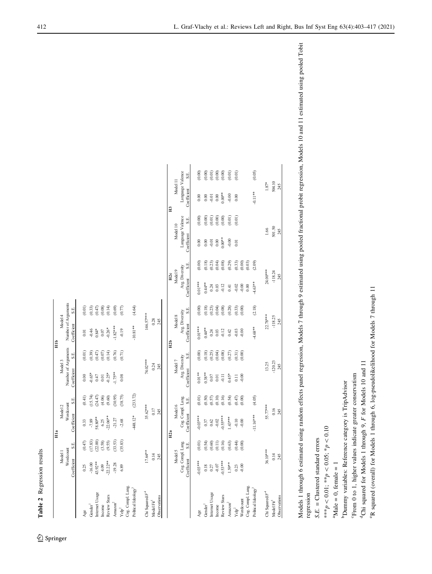<span id="page-9-0"></span>

|                                              |                   |         | Hla               |          |                     |        | $\frac{1}{2}$       |        |                 |                  |                  |        |                  |          |
|----------------------------------------------|-------------------|---------|-------------------|----------|---------------------|--------|---------------------|--------|-----------------|------------------|------------------|--------|------------------|----------|
|                                              | Model 1           |         | Model 2           |          | Model 3             |        | Model 4             |        |                 |                  |                  |        |                  |          |
|                                              | Wordcount         |         | Wordcount         |          | Number of Arguments |        | Number of Arguments |        |                 |                  |                  |        |                  |          |
|                                              | Coefficient       | S.E.    | Coefficient       | S.E.     | Coefficient         | S.E.   | Coefficient         | S.E.   |                 |                  |                  |        |                  |          |
| $A_{\rm ge}$                                 | 0.25              | (0.47)  | 0.33              | (0.41)   | 0.00                | (0.01) | $0.01$              | (0.01) |                 |                  |                  |        |                  |          |
| Gender <sup>1</sup>                          | $-16.00$          | (17.83) | $-7.89$           | (15.74)  | $-0.65*$            | (0.39) | $-0.46$             | (0.33) |                 |                  |                  |        |                  |          |
| Internet Usage                               | 43.92**           | (22.00) | 58.80**           | 24.47)   | 0.47                | (0.47) | $0.84*$             | (0.47) |                 |                  |                  |        |                  |          |
| Income                                       | 4.09              | (3.58)  | 6.25              | (4.06)   | 0.01                | (0.07) | $0.07$              | (0.08) |                 |                  |                  |        |                  |          |
| Review Stars                                 | $-22.22**$        | (9.55)  | $-22.06**$        | (9.60)   | $-0.25*$            | (0.14) | $-0.26*$            | (0.14) |                 |                  |                  |        |                  |          |
| $\text{A}$ mazon $\textsuperscript{2}$       | $-19.28$          | (33.53) | $-21.27$          | (30.95)  | $-1.75**$           | (0.76) | $-1.82***$          | (0.69) |                 |                  |                  |        |                  |          |
| $\mathbf{Y}\mathbf{e}\mathbf{I}\mathbf{p}^2$ | 6.89              | (35.83) | $-2.68$           | (38.75)  | $0.08\,$            | (0.71) | $-0.19$             | (0.77) |                 |                  |                  |        |                  |          |
| Cog. Compl. Lang.                            |                   |         |                   |          |                     |        |                     |        |                 |                  |                  |        |                  |          |
| Political Ideology <sup>3</sup>              |                   |         | 448.12*           | (233.72) |                     |        | $-10.81**$          | (4.64) |                 |                  |                  |        |                  |          |
| Chi Squared $F^4$                            | 17.64**           |         | 35.62***          |          | 74.02***            |        | 146.57***           |        |                 |                  |                  |        |                  |          |
| Model $Fit5$                                 | 0.14              |         | 0.17              |          | 0.24                |        | 0.28                |        |                 |                  |                  |        |                  |          |
| Observations                                 | 245               |         | 245               |          | 245                 |        | 245                 |        |                 |                  |                  |        |                  |          |
|                                              |                   |         |                   |          |                     |        |                     |        |                 |                  |                  |        |                  |          |
|                                              |                   |         | H2a               |          |                     |        | H2b                 |        | H2c             |                  |                  |        | H3               |          |
|                                              | Model 5           |         | Model 6           |          | Model 7             |        | Model 8             |        | Model 9         |                  | Model 10         |        | Model 11         |          |
|                                              | Cog. Compl. Lang. |         | Cog. Compl. Lang. |          | Arg. Diversity      |        | Arg. Diversity      |        | Arg. Diversity  |                  | Language Valence |        | Language Valence |          |
|                                              | Coefficient       | S.E.    | Coefficient       | S.E.     | Coefficient         | S.E.   | Coefficient         | S.E.   | Coefficient     | S.E.             | Coefficient      | S.E.   | Coefficient      | S.E.     |
| Age                                          | $0.03***$         | (0.01)  | $-0.03***$        | (0.01)   | $0.01***$           | (0.00) | $0.01***$           | (0.00) | $0.01***$       | (0.00)           | 0.00             | (0.00) | 0.00             | (0.00)   |
| Gender <sup>1</sup>                          | 0.18              | (0.54)  | 0.37              | (0.50)   | $0.38***$           | (0.18) | $0.44**$            | (0.18) | $0.44**$        | (0.18)           | 0.00             | (0.00) | 0.00             | $(0.00)$ |
| Internet Usage                               | $0.27$            | (0.60)  | $0.62\,$          | (0.57)   | 0.07                | (0.25) | 0.24                | (0.23) | 0.24            | (0.23)           | $-0.01$          | (0.01) | $-0.01$          | (0.01)   |
| Income                                       | $-0.07$           | (0.11)  | $-0.02$           | (0.10)   | 0.01                | (0.04) | 0.03                | (0.04) | 0.03            | (0.04)           | 0.00             | (0.00) | 0.00             | $(0.00)$ |
| Review Stars                                 | $-0.53***$        | (0.16)  | $0.5$ 5***        | (0.16)   | $-0.11$             | (0.08) | $-0.12$             | (0.08) | $-0.12$         | (0.08)           | $0.00**$         | (0.00) | $0.00**$         | $(0.00)$ |
| $\text{Amaxon}^2$                            | $1.59**$          | (0.63)  | $1.43***$         | (0.54)   | $0.45*$             | (0.27) | 0.42                | (0.28) | 0.41            | (0.29)           | $-0.00$          | (0.01) | $-0.00$          | (0.01)   |
| $\mathrm{Y}\mathrm{e}\mathrm{I}\mathrm{p}^2$ | 0.23              | (0.44)  | $-0.10$           | (0.47)   | $\overline{0}$ .    | (0.31) | $-0.03$             | (0.33) | $-0.02$         | (0.33)           | 0.01             | (0.01) | 0.00             | (0.01)   |
| Cog. Compl. Lang.<br>Wordcount               | $-0.00$           | (0.00)  | $-0.00$           | (0.00)   | $-0.00$             | (0.00) | $-0.00$             | (0.00) | $-0.00$<br>0.00 | (0.00)<br>(0.03) |                  |        |                  |          |
| Political Ideology <sup>3</sup>              |                   |         | $-11.16***$       | (4.05)   |                     |        | $-4.68**$           | (2.18) | $-4.63**$       | (2.09)           |                  |        | $-0.11**$        | (0.05)   |
| Chi Squared/ $F^4$                           | 36.10***          |         | 55.77***          |          |                     | 13.25  | $22.78***$          |        | 24.00***        |                  |                  | 1.66   | $1.87^*$         |          |
| Model Fit <sup>5</sup>                       | 0.14              |         | 0.16              |          | $-120.23$           |        | $-118.25$           |        | $-118.24$       |                  | 501.50           |        | 504.10           |          |
| Observations                                 | 245               |         | 245               |          | 245                 |        | 245                 |        | 245             |                  | 245              |        | 245              |          |

Table 2 Regression results Table 2 Regression results

<sup>2</sup> Springer

Models 1 through 6 estimated using random effects panel regression, Models 7 through 9 estimated using pooled fractional probit regression, Models 10 and 11 estimated using pooled Tobit Models 1 through 6 estimated using random effects panel regression, Models 7 through 9 estimated using pooled fractional probit regression, Models 10 and 11 estimated using pooled Tobit regression

 $S.E. = Clustered standard errors$  $SE = Cl$  ustered standard errors

\*\*\* p  $< 0.01$ ; \*\*p  $< 0.05; *p$  $\frac{10}{5}$ 

 $^a$ Male = 0, female = 1  $^{a}$ Male = 0, female = 1

<sup>b</sup>Dummy variables: Reference category is TripAdvisor bDummy variables: Reference category is TripAdvisor

<sup>c</sup>From 0 to 1, higher values indicate greater conservatism cFrom 0 to 1, higher values indicate greater conservatism

dChi squared for Models 1 through 9, <sup>d</sup>Chi squared for Models 1 through 9, F for Models 10 and 11 for Models 10 and 11

<sup>e</sup>R squared (overall) for Models 1 through 6, log-pseudolikelihood for Models 7 through 11 eR squared (overall) for Models 1 through 6, log-pseudolikelihood for Models 7 through 11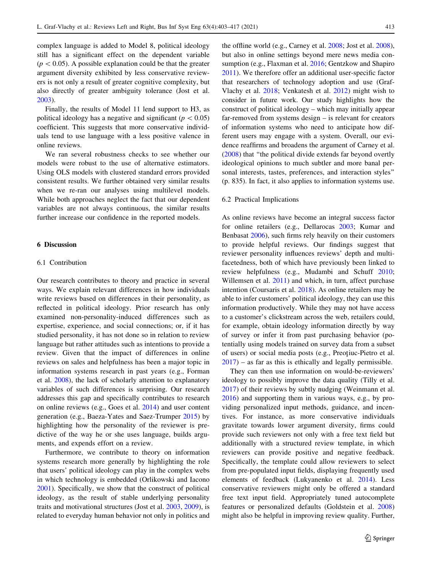complex language is added to Model 8, political ideology still has a significant effect on the dependent variable  $(p<0.05)$ . A possible explanation could be that the greater argument diversity exhibited by less conservative reviewers is not only a result of greater cognitive complexity, but also directly of greater ambiguity tolerance (Jost et al. [2003\)](#page-13-0).

Finally, the results of Model 11 lend support to H3, as political ideology has a negative and significant ( $p < 0.05$ ) coefficient. This suggests that more conservative individuals tend to use language with a less positive valence in online reviews.

We ran several robustness checks to see whether our models were robust to the use of alternative estimators. Using OLS models with clustered standard errors provided consistent results. We further obtained very similar results when we re-ran our analyses using multilevel models. While both approaches neglect the fact that our dependent variables are not always continuous, the similar results further increase our confidence in the reported models.

# 6 Discussion

#### 6.1 Contribution

Our research contributes to theory and practice in several ways. We explain relevant differences in how individuals write reviews based on differences in their personality, as reflected in political ideology. Prior research has only examined non-personality-induced differences such as expertise, experience, and social connections; or, if it has studied personality, it has not done so in relation to review language but rather attitudes such as intentions to provide a review. Given that the impact of differences in online reviews on sales and helpfulness has been a major topic in information systems research in past years (e.g., Forman et al. [2008\)](#page-12-0), the lack of scholarly attention to explanatory variables of such differences is surprising. Our research addresses this gap and specifically contributes to research on online reviews (e.g., Goes et al. [2014](#page-13-0)) and user content generation (e.g., Baeza-Yates and Saez-Trumper [2015\)](#page-12-0) by highlighting how the personality of the reviewer is predictive of the way he or she uses language, builds arguments, and expends effort on a review.

Furthermore, we contribute to theory on information systems research more generally by highlighting the role that users' political ideology can play in the complex webs in which technology is embedded (Orlikowski and Iacono [2001\)](#page-13-0). Specifically, we show that the construct of political ideology, as the result of stable underlying personality traits and motivational structures (Jost et al. [2003](#page-13-0), [2009](#page-13-0)), is related to everyday human behavior not only in politics and the offline world (e.g., Carney et al. [2008;](#page-12-0) Jost et al. [2008](#page-13-0)), but also in online settings beyond mere news media consumption (e.g., Flaxman et al. [2016;](#page-12-0) Gentzkow and Shapiro [2011](#page-13-0)). We therefore offer an additional user-specific factor that researchers of technology adoption and use (Graf-Vlachy et al. [2018](#page-13-0); Venkatesh et al. [2012\)](#page-14-0) might wish to consider in future work. Our study highlights how the construct of political ideology – which may initially appear far-removed from systems design – is relevant for creators of information systems who need to anticipate how different users may engage with a system. Overall, our evidence reaffirms and broadens the argument of Carney et al. [\(2008](#page-12-0)) that ''the political divide extends far beyond overtly ideological opinions to much subtler and more banal personal interests, tastes, preferences, and interaction styles'' (p. 835). In fact, it also applies to information systems use.

#### 6.2 Practical Implications

As online reviews have become an integral success factor for online retailers (e.g., Dellarocas [2003;](#page-12-0) Kumar and Benbasat [2006\)](#page-13-0), such firms rely heavily on their customers to provide helpful reviews. Our findings suggest that reviewer personality influences reviews' depth and multifacetedness, both of which have previously been linked to review helpfulness (e.g., Mudambi and Schuff [2010](#page-13-0); Willemsen et al. [2011](#page-14-0)) and which, in turn, affect purchase intention (Coursaris et al. [2018\)](#page-12-0). As online retailers may be able to infer customers' political ideology, they can use this information productively. While they may not have access to a customer's clickstream across the web, retailers could, for example, obtain ideology information directly by way of survey or infer it from past purchasing behavior (potentially using models trained on survey data from a subset of users) or social media posts (e.g., Preotiuc-Pietro et al. [2017](#page-13-0)) – as far as this is ethically and legally permissible.

They can then use information on would-be-reviewers' ideology to possibly improve the data quality (Tilly et al. [2017](#page-14-0)) of their reviews by subtly nudging (Weinmann et al. [2016](#page-14-0)) and supporting them in various ways, e.g., by providing personalized input methods, guidance, and incentives. For instance, as more conservative individuals gravitate towards lower argument diversity, firms could provide such reviewers not only with a free text field but additionally with a structured review template, in which reviewers can provide positive and negative feedback. Specifically, the template could allow reviewers to select from pre-populated input fields, displaying frequently used elements of feedback (Lukyanenko et al. [2014\)](#page-13-0). Less conservative reviewers might only be offered a standard free text input field. Appropriately tuned autocomplete features or personalized defaults (Goldstein et al. [2008\)](#page-13-0) might also be helpful in improving review quality. Further,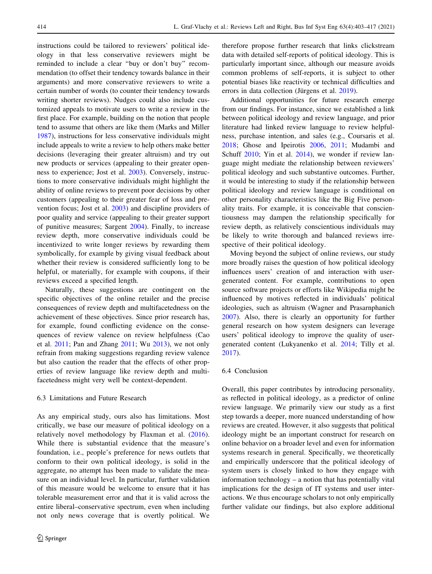instructions could be tailored to reviewers' political ideology in that less conservative reviewers might be reminded to include a clear ''buy or don't buy'' recommendation (to offset their tendency towards balance in their arguments) and more conservative reviewers to write a certain number of words (to counter their tendency towards writing shorter reviews). Nudges could also include customized appeals to motivate users to write a review in the first place. For example, building on the notion that people tend to assume that others are like them (Marks and Miller [1987\)](#page-13-0), instructions for less conservative individuals might include appeals to write a review to help others make better decisions (leveraging their greater altruism) and try out new products or services (appealing to their greater openness to experience; Jost et al. [2003](#page-13-0)). Conversely, instructions to more conservative individuals might highlight the ability of online reviews to prevent poor decisions by other customers (appealing to their greater fear of loss and prevention focus; Jost et al. [2003\)](#page-13-0) and discipline providers of poor quality and service (appealing to their greater support of punitive measures; Sargent [2004](#page-14-0)). Finally, to increase review depth, more conservative individuals could be incentivized to write longer reviews by rewarding them symbolically, for example by giving visual feedback about whether their review is considered sufficiently long to be helpful, or materially, for example with coupons, if their reviews exceed a specified length.

Naturally, these suggestions are contingent on the specific objectives of the online retailer and the precise consequences of review depth and multifacetedness on the achievement of these objectives. Since prior research has, for example, found conflicting evidence on the consequences of review valence on review helpfulness (Cao et al. [2011;](#page-12-0) Pan and Zhang [2011;](#page-13-0) Wu [2013\)](#page-14-0), we not only refrain from making suggestions regarding review valence but also caution the reader that the effects of other properties of review language like review depth and multifacetedness might very well be context-dependent.

# 6.3 Limitations and Future Research

As any empirical study, ours also has limitations. Most critically, we base our measure of political ideology on a relatively novel methodology by Flaxman et al. [\(2016](#page-12-0)). While there is substantial evidence that the measure's foundation, i.e., people's preference for news outlets that conform to their own political ideology, is solid in the aggregate, no attempt has been made to validate the measure on an individual level. In particular, further validation of this measure would be welcome to ensure that it has tolerable measurement error and that it is valid across the entire liberal–conservative spectrum, even when including not only news coverage that is overtly political. We therefore propose further research that links clickstream data with detailed self-reports of political ideology. This is particularly important since, although our measure avoids common problems of self-reports, it is subject to other potential biases like reactivity or technical difficulties and errors in data collection (Jürgens et al. [2019\)](#page-13-0).

Additional opportunities for future research emerge from our findings. For instance, since we established a link between political ideology and review language, and prior literature had linked review language to review helpfulness, purchase intention, and sales (e.g., Coursaris et al. [2018](#page-12-0); Ghose and Ipeirotis [2006](#page-13-0), [2011;](#page-13-0) Mudambi and Schuff [2010;](#page-13-0) Yin et al. [2014\)](#page-14-0), we wonder if review language might mediate the relationship between reviewers' political ideology and such substantive outcomes. Further, it would be interesting to study if the relationship between political ideology and review language is conditional on other personality characteristics like the Big Five personality traits. For example, it is conceivable that conscientiousness may dampen the relationship specifically for review depth, as relatively conscientious individuals may be likely to write thorough and balanced reviews irrespective of their political ideology.

Moving beyond the subject of online reviews, our study more broadly raises the question of how political ideology influences users' creation of and interaction with usergenerated content. For example, contributions to open source software projects or efforts like Wikipedia might be influenced by motives reflected in individuals' political ideologies, such as altruism (Wagner and Prasarnphanich [2007](#page-14-0)). Also, there is clearly an opportunity for further general research on how system designers can leverage users' political ideology to improve the quality of usergenerated content (Lukyanenko et al. [2014;](#page-13-0) Tilly et al. [2017](#page-14-0)).

# 6.4 Conclusion

Overall, this paper contributes by introducing personality, as reflected in political ideology, as a predictor of online review language. We primarily view our study as a first step towards a deeper, more nuanced understanding of how reviews are created. However, it also suggests that political ideology might be an important construct for research on online behavior on a broader level and even for information systems research in general. Specifically, we theoretically and empirically underscore that the political ideology of system users is closely linked to how they engage with information technology – a notion that has potentially vital implications for the design of IT systems and user interactions. We thus encourage scholars to not only empirically further validate our findings, but also explore additional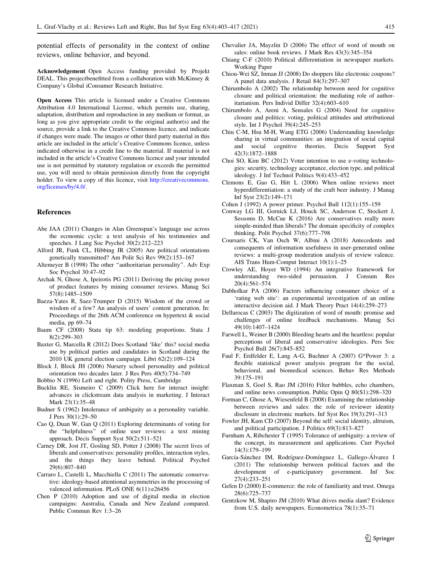<span id="page-12-0"></span>potential effects of personality in the context of online reviews, online behavior, and beyond.

Acknowledgement Open Access funding provided by Projekt DEAL. This projectbenefitted from a collaboration with McKinsey & Company's Global iConsumer Research Initiative.

Open Access This article is licensed under a Creative Commons Attribution 4.0 International License, which permits use, sharing, adaptation, distribution and reproduction in any medium or format, as long as you give appropriate credit to the original author(s) and the source, provide a link to the Creative Commons licence, and indicate if changes were made. The images or other third party material in this article are included in the article's Creative Commons licence, unless indicated otherwise in a credit line to the material. If material is not included in the article's Creative Commons licence and your intended use is not permitted by statutory regulation or exceeds the permitted use, you will need to obtain permission directly from the copyright holder. To view a copy of this licence, visit [http://creativecommons.](http://creativecommons.org/licenses/by/4.0/) [org/licenses/by/4.0/.](http://creativecommons.org/licenses/by/4.0/)

#### References

- Abe JAA (2011) Changes in Alan Greenspan's language use across the economic cycle: a text analysis of his testimonies and speeches. J Lang Soc Psychol 30(2):212–223
- Alford JR, Funk CL, Hibbing JR (2005) Are political orientations genetically transmitted? Am Polit Sci Rev 99(2):153–167
- Altemeyer B (1998) The other ''authoritarian personality''. Adv Exp Soc Psychol 30:47–92
- Archak N, Ghose A, Ipeirotis PG (2011) Deriving the pricing power of product features by mining consumer reviews. Manag Sci 57(8):1485–1509
- Baeza-Yates R, Saez-Trumper D (2015) Wisdom of the crowd or wisdom of a few? An analysis of users' content generation. In: Proceedings of the 26th ACM conference on hypertext & social media, pp 69–74
- Baum CF (2008) Stata tip 63: modeling proportions. Stata J 8(2):299–303
- Baxter G, Marcella R (2012) Does Scotland 'like' this? social media use by political parties and candidates in Scotland during the 2010 UK general election campaign. Libri 62(2):109–124
- Block J, Block JH (2006) Nursery school personality and political orientation two decades later. J Res Pers 40(5):734–749
- Bobbio N (1996) Left and right. Polity Press, Cambridge
- Bucklin RE, Sismeiro C (2009) Click here for interact insight: advances in clickstream data analysis in marketing. J Interact Mark 23(1):35–48
- Budner S (1962) Intolerance of ambiguity as a personality variable. J Pers 30(1):29–50
- Cao Q, Duan W, Gan Q (2011) Exploring determinants of voting for the ''helpfulness'' of online user reviews: a text mining approach. Decis Support Syst 50(2):511–521
- Carney DR, Jost JT, Gosling SD, Potter J (2008) The secret lives of liberals and conservatives: personality profiles, interaction styles, and the things they leave behind. Political Psychol 29(6):807–840
- Carraro L, Castelli L, Macchiella C (2011) The automatic conservative: ideology-based attentional asymmetries in the processing of valenced information. PLoS ONE 6(11):e26456
- Chen P (2010) Adoption and use of digital media in election campaigns: Australia, Canada and New Zealand compared. Public Commun Rev 1:3–26
- Chevalier JA, Mayzlin D (2006) The effect of word of mouth on sales: online book reviews. J Mark Res 43(3):345–354
- Chiang C-F (2010) Political differentiation in newspaper markets. Working Paper
- Chiou-Wei SZ, Inman JJ (2008) Do shoppers like electronic coupons? A panel data analysis. J Retail 84(3):297–307
- Chirumbolo A (2002) The relationship between need for cognitive closure and political orientation: the mediating role of authoritarianism. Pers Individ Differ 32(4):603–610
- Chirumbolo A, Areni A, Sensales G (2004) Need for cognitive closure and politics: voting, political attitudes and attributional style. Int J Psychol 39(4):245–253
- Chiu C-M, Hsu M-H, Wang ETG (2006) Understanding knowledge sharing in virtual communities: an integration of social capital and social cognitive theories. Decis Support Syst 42(3):1872–1888
- Choi SO, Kim BC (2012) Voter intention to use e-voting technologies: security, technology acceptance, election type, and political ideology. J Inf Technol Politics 9(4):433–452
- Clemons E, Gao G, Hitt L (2006) When online reviews meet hyperdifferentiation: a study of the craft beer industry. J Manag Inf Syst 23(2):149–171
- Cohen J (1992) A power primer. Psychol Bull 112(1):155–159
- Conway LG III, Gornick LJ, Houck SC, Anderson C, Stockert J, Sessoms D, McCue K (2016) Are conservatives really more simple-minded than liberals? The domain specificity of complex thinking. Polit Psychol 37(6):777–798
- Coursaris CK, Van Osch W, Albini A (2018) Antecedents and consequents of information usefulness in user-generated online reviews: a multi-group moderation analysis of review valence. AIS Trans Hum-Comput Interact 10(1):1–25
- Crowley AE, Hoyer WD (1994) An integrative framework for understanding two-sided persuasion. J Consum Res 20(4):561–574
- Dabholkar PA (2006) Factors influencing consumer choice of a 'rating web site': an experimental investigation of an online interactive decision aid. J Mark Theory Pract 14(4):259–273
- Dellarocas C (2003) The digitization of word of mouth: promise and challenges of online feedback mechanisms. Manag Sci 49(10):1407–1424
- Farwell L, Weiner B (2000) Bleeding hearts and the heartless: popular perceptions of liberal and conservative ideologies. Pers Soc Psychol Bull 26(7):845–852
- Faul F, Erdfelder E, Lang A-G, Buchner A (2007) G\*Power 3: a flexible statistical power analysis program for the social, behavioral, and biomedical sciences. Behav Res Methods 39:175–191
- Flaxman S, Goel S, Rao JM (2016) Filter bubbles, echo chambers, and online news consumption. Public Opin Q 80(S1):298–320
- Forman C, Ghose A, Wiesenfeld B (2008) Examining the relationship between reviews and sales: the role of reviewer identity disclosure in electronic markets. Inf Syst Res 19(3):291–313
- Fowler JH, Kam CD (2007) Beyond the self: social identity, altruism, and political participation. J Politics 69(3):813–827
- Furnham A, Ribchester T (1995) Tolerance of ambiguity: a review of the concept, its measurement and applications. Curr Psychol 14(3):179–199
- García-Sánchez IM, Rodríguez-Domínguez L, Gallego-Álvarez I (2011) The relationship between political factors and the development of e-participatory government. Inf Soc 27(4):233–251
- Gefen D (2000) E-commerce: the role of familiarity and trust. Omega 28(6):725–737
- Gentzkow M, Shapiro JM (2010) What drives media slant? Evidence from U.S. daily newspapers. Econometrica 78(1):35–71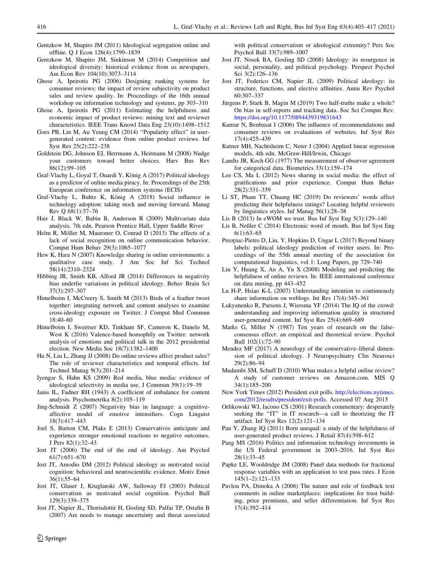- <span id="page-13-0"></span>Gentzkow M, Shapiro JM (2011) Ideological segregation online and offline. Q J Econ 126(4):1799–1839
- Gentzkow M, Shapiro JM, Sinkinson M (2014) Competition and ideological diversity: historical evidence from us newspapers. Am Econ Rev 104(10):3073–3114
- Ghose A, Ipeirotis PG (2006) Designing ranking systems for consumer reviews: the impact of review subjectivity on product sales and review quality. In: Proceedings of the 16th annual workshop on information technology and systems, pp 303–310
- Ghose A, Ipeirotis PG (2011) Estimating the helpfulness and economic impact of product reviews: mining text and reviewer characteristics. IEEE Trans Knowl Data Eng 23(10):1498–1512
- Goes PB, Lin M, Au Yeung CM (2014) ''Popularity effect'' in usergenerated content: evidence from online product reviews. Inf Syst Res 25(2):222–238
- Goldstein DG, Johnson EJ, Herrmann A, Heitmann M (2008) Nudge your customers toward better choices. Harv Bus Rev 86(12):99–105
- Graf-Vlachy L, Goyal T, Ouardi Y, König A (2017) Political ideology as a predictor of online media piracy. In: Proceedings of the 25th European conference on information systems (ECIS)
- Graf-Vlachy L, Buhtz K, König A (2018) Social influence in technology adoption: taking stock and moving forward. Manag Rev Q 68(1):37–76
- Hair J, Black W, Babin B, Anderson R (2009) Multivariate data analysis, 7th edn. Pearson Prentice Hall, Upper Saddle River
- Helm R, Möller M, Mauroner O, Conrad D (2013) The effects of a lack of social recognition on online communication behavior. Comput Hum Behav 29(3):1065–1077
- Hew K, Hara N (2007) Knowledge sharing in online environments: a qualitative case study. J Am Soc Inf Sci Technol 58(14):2310–2324
- Hibbing JR, Smith KB, Alford JR (2014) Differences in negativity bias underlie variations in political ideology. Behav Brain Sci 37(3):297–307
- Himelboim I, McCreery S, Smith M (2013) Birds of a feather tweet together: integrating network and content analyses to examine cross-ideology exposure on Twitter. J Comput Med Commun 18:40–60
- Himelboim I, Sweetser KD, Tinkham SF, Cameron K, Danelo M, West K (2016) Valence-based homophily on Twitter: network analysis of emotions and political talk in the 2012 presidential election. New Media Soc 18(7):1382–1400
- Hu N, Liu L, Zhang JJ (2008) Do online reviews affect product sales? The role of reviewer characteristics and temporal effects. Inf Technol Manag 9(3):201–214
- Iyengar S, Hahn KS (2009) Red media, blue media: evidence of ideological selectivity in media use. J Commun 59(1):19–39
- Janis IL, Fadner RH (1943) A coefficient of imbalance for content analysis. Psychometrika 8(2):105–119
- Jing-Schmidt Z (2007) Negativity bias in language: a cognitiveaffective model of emotive intensifiers. Cogn Linguist 18(3):417–443
- Joel S, Burton CM, Plaks E (2013) Conservatives anticipate and experience stronger emotional reactions to negative outcomes. J Pers 82(1):32–43
- Jost JT (2006) The end of the end of ideology. Am Psychol 61(7):651–670
- Jost JT, Amodio DM (2012) Political ideology as motivated social cognition: behavioral and neuroscientific evidence. Motiv Emot 36(1):55–64
- Jost JT, Glaser J, Kruglanski AW, Sulloway FJ (2003) Political conservatism as motivated social cognition. Psychol Bull 129(3):339–375
- Jost JT, Napier JL, Thorisdottir H, Gosling SD, Palfai TP, Ostafin B (2007) Are needs to manage uncertainty and threat associated

with political conservatism or ideological extremity? Pers Soc Psychol Bull 33(7):989–1007

- Jost JT, Nosek BA, Gosling SD (2008) Ideology: its resurgence in social, personality, and political psychology. Perspect Psychol Sci 3(2):126–136
- Jost JT, Federico CM, Napier JL (2009) Political ideology: its structure, functions, and elective affinities. Annu Rev Psychol 60:307–337
- Jürgens P, Stark B, Magin M (2019) Two half-truths make a whole? On bias in self-reports and tracking data. Soc Sci Comput Rev. <https://doi.org/10.1177/0894439319831643>
- Kumar N, Benbasat I (2006) The influence of recommendations and consumer reviews on evaluations of websites. Inf Syst Res 17(4):425–439
- Kutner MH, Nachtsheim C, Neter J (2004) Applied linear regression models, 4th edn. McGraw-Hill/Irwin, Chicago
- Landis JR, Koch GG (1977) The measurement of observer agreement for categorical data. Biometrics 33(1):159–174
- Lee CS, Ma L (2012) News sharing in social media: the effect of gratifications and prior experience. Comput Hum Behav 28(2):331–339
- Li ST, Pham TT, Chuang HC (2019) Do reviewers' words affect predicting their helpfulness ratings? Locating helpful reviewers by linguistics styles. Inf Manag 56(1):28–38
- Lis B (2013) In eWOM we trust. Bus Inf Syst Eng 5(3):129–140
- Lis B, Neßler C (2014) Electronic word of mouth. Bus Inf Syst Eng 6(1):63–65
- Preoțiuc-Pietro D, Liu, Y, Hopkins D, Ungar L (2017) Beyond binary labels: political ideology prediction of twitter users. In: Proceedings of the 55th annual meeting of the association for computational linguistics, vol 1: Long Papers, pp 729–740
- Liu Y, Huang X, An A, Yu X (2008) Modeling and predicting the helpfulness of online reviews. In: IEEE international conference on data mining, pp 443–452
- Lu H-P, Hsiao K-L (2007) Understanding intention to continuously share information on weblogs. Int Res 17(4):345–361
- Lukyanenko R, Parsons J, Wiersma YF (2014) The IQ of the crowd: understanding and improving information quality in structured user-generated content. Inf Syst Res 25(4):669–689
- Marks G, Miller N (1987) Ten years of research on the falseconsensus effect: an empirical and theoretical review. Psychol Bull 102(1):72–90
- Mendez MF (2017) A neurology of the conservative–liberal dimension of political ideology. J Neuropsychiatry Clin Neurosci 29(2):86–94
- Mudambi SM, Schuff D (2010) What makes a helpful online review? A study of customer reviews on Amazon.com. MIS Q 34(1):185–200
- New York Times (2012) President exit polls. [http://elections.nytimes.](http://elections.nytimes.com/2012/results/president/exit-polls) [com/2012/results/president/exit-polls.](http://elections.nytimes.com/2012/results/president/exit-polls) Accessed 07 Aug 2015
- Orlikowski WJ, Iacono CS (2001) Research commentary: desperately seeking the "IT" in IT research—a call to theorizing the IT artifact. Inf Syst Res 12(2):121–134
- Pan Y, Zhang JQ (2011) Born unequal: a study of the helpfulness of user-generated product reviews. J Retail 87(4):598–612
- Pang MS (2016) Politics and information technology investments in the US Federal government in 2003–2016. Inf Syst Res 28(1):33–45
- Papke LE, Wooldridge JM (2008) Panel data methods for fractional response variables with an application to test pass rates. J Econ 145(1–2):121–133
- Pavlou PA, Dimoka A (2006) The nature and role of feedback text comments in online marketplaces: implications for trust building, price premiums, and seller differentiation. Inf Syst Res 17(4):392–414